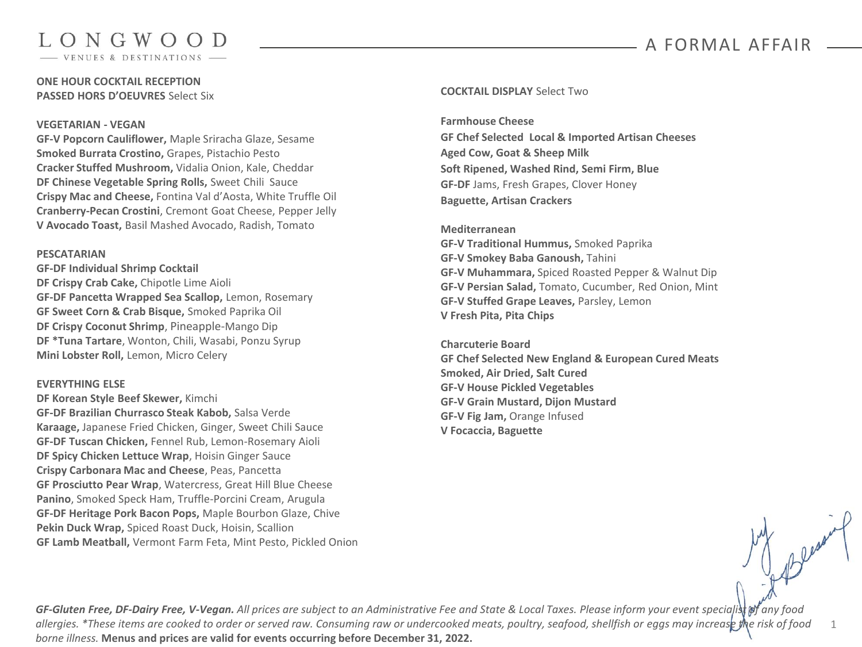### A FORMAL AFFAIR

1

# LONGWOOD

VENUES & DESTINATIONS

#### **ONE HOUR COCKTAIL RECEPTION PASSED HORS D'OEUVRES** Select Six

#### **VEGETARIAN - VEGAN**

**GF-V Popcorn Cauliflower,** Maple Sriracha Glaze, Sesame **Smoked Burrata Crostino,** Grapes, Pistachio Pesto **Cracker Stuffed Mushroom,** Vidalia Onion, Kale, Cheddar **DF Chinese Vegetable Spring Rolls,** Sweet Chili Sauce **Crispy Mac and Cheese,** Fontina Val d'Aosta, White Truffle Oil **Cranberry-Pecan Crostini**, Cremont Goat Cheese, Pepper Jelly **V Avocado Toast,** Basil Mashed Avocado, Radish, Tomato

#### **PESCATARIAN**

**GF-DF Individual Shrimp Cocktail DF Crispy Crab Cake,** Chipotle Lime Aioli **GF-DF Pancetta Wrapped Sea Scallop,** Lemon, Rosemary **GF Sweet Corn & Crab Bisque,** Smoked Paprika Oil **DF Crispy Coconut Shrimp**, Pineapple-Mango Dip **DF \*Tuna Tartare**, Wonton, Chili, Wasabi, Ponzu Syrup **Mini Lobster Roll,** Lemon, Micro Celery

#### **EVERYTHING ELSE**

**DF Korean Style Beef Skewer,** Kimchi **GF-DF Brazilian Churrasco Steak Kabob,** Salsa Verde **Karaage,** Japanese Fried Chicken, Ginger, Sweet Chili Sauce **GF-DF Tuscan Chicken,** Fennel Rub, Lemon-Rosemary Aioli **DF Spicy Chicken Lettuce Wrap**, Hoisin Ginger Sauce **Crispy Carbonara Mac and Cheese**, Peas, Pancetta **GF Prosciutto Pear Wrap**, Watercress, Great Hill Blue Cheese **Panino**, Smoked Speck Ham, Truffle-Porcini Cream, Arugula **GF-DF Heritage Pork Bacon Pops,** Maple Bourbon Glaze, Chive **Pekin Duck Wrap,** Spiced Roast Duck, Hoisin, Scallion **GF Lamb Meatball,** Vermont Farm Feta, Mint Pesto, Pickled Onion

#### **COCKTAIL DISPLAY** Select Two

**Farmhouse Cheese GF Chef Selected Local & Imported Artisan Cheeses Aged Cow, Goat & Sheep Milk Soft Ripened, Washed Rind, Semi Firm, Blue GF-DF** Jams, Fresh Grapes, Clover Honey **Baguette, Artisan Crackers**

**Mediterranean GF-V Traditional Hummus,** Smoked Paprika **GF-V Smokey Baba Ganoush,** Tahini **GF-V Muhammara,** Spiced Roasted Pepper & Walnut Dip **GF-V Persian Salad,** Tomato, Cucumber, Red Onion, Mint **GF-V Stuffed Grape Leaves,** Parsley, Lemon **V Fresh Pita, Pita Chips** 

**Charcuterie Board GF Chef Selected New England & European Cured Meats Smoked, Air Dried, Salt Cured GF-V House Pickled Vegetables GF-V Grain Mustard, Dijon Mustard GF-V Fig Jam,** Orange Infused **V Focaccia, Baguette**

GF-Gluten Free, DF-Dairy Free, V-Vegan. All prices are subject to an Administrative Fee and State & Local Taxes. Please inform your event specialist of any food *allergies. \*These items are cooked to order or served raw. Consuming raw or undercooked meats, poultry, seafood, shellfish or eggs may increase the risk of food borne illness.* **Menus and prices are valid for events occurring before December 31, 2022.**